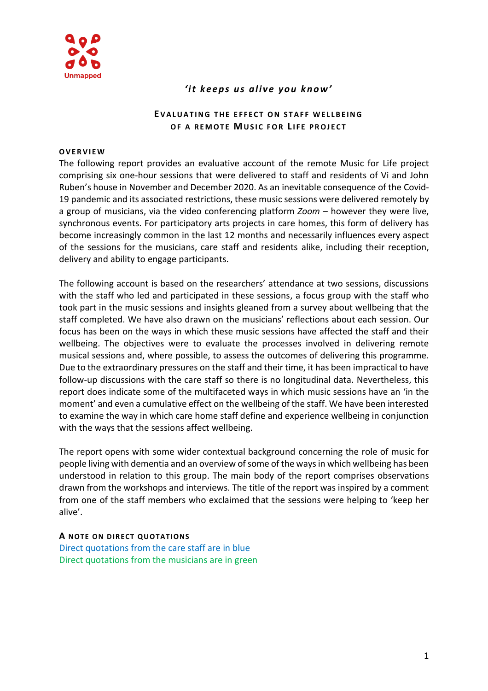

# 'it keeps us alive you know'

# **EVALUATING THE FFFFCT ON STAFF WELLBEING OF A REMOTE MUSIC FOR LIFE PROJECT**

#### **O V E R V I E W**

The following report provides an evaluative account of the remote Music for Life project comprising six one-hour sessions that were delivered to staff and residents of Vi and John Ruben's house in November and December 2020. As an inevitable consequence of the Covid-19 pandemic and its associated restrictions, these music sessions were delivered remotely by a group of musicians, via the video conferencing platform *Zoom* – however they were live, synchronous events. For participatory arts projects in care homes, this form of delivery has become increasingly common in the last 12 months and necessarily influences every aspect of the sessions for the musicians, care staff and residents alike, including their reception, delivery and ability to engage participants.

The following account is based on the researchers' attendance at two sessions, discussions with the staff who led and participated in these sessions, a focus group with the staff who took part in the music sessions and insights gleaned from a survey about wellbeing that the staff completed. We have also drawn on the musicians' reflections about each session. Our focus has been on the ways in which these music sessions have affected the staff and their wellbeing. The objectives were to evaluate the processes involved in delivering remote musical sessions and, where possible, to assess the outcomes of delivering this programme. Due to the extraordinary pressures on the staff and their time, it has been impractical to have follow-up discussions with the care staff so there is no longitudinal data. Nevertheless, this report does indicate some of the multifaceted ways in which music sessions have an 'in the moment' and even a cumulative effect on the wellbeing of the staff. We have been interested to examine the way in which care home staff define and experience wellbeing in conjunction with the ways that the sessions affect wellbeing.

The report opens with some wider contextual background concerning the role of music for people living with dementia and an overview of some of the ways in which wellbeing has been understood in relation to this group. The main body of the report comprises observations drawn from the workshops and interviews. The title of the report was inspired by a comment from one of the staff members who exclaimed that the sessions were helping to 'keep her alive'.

#### **A** NOTE ON DIRECT QUOTATIONS

Direct quotations from the care staff are in blue Direct quotations from the musicians are in green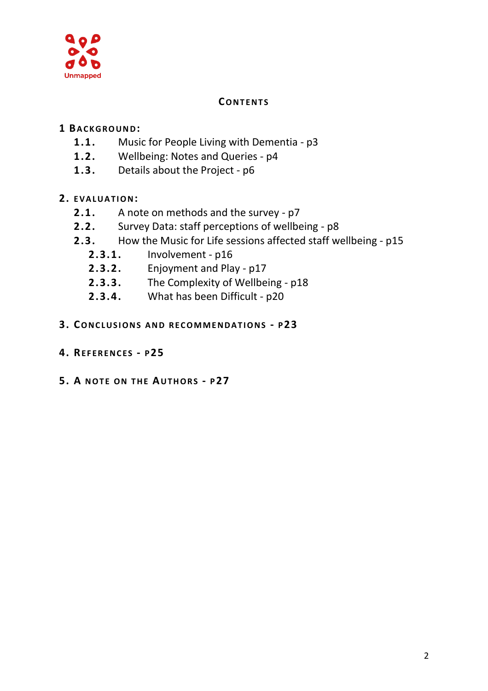

# **CO N T E N T S**

# **1 BA C K G R O U N D:**

- **1.1.** Music for People Living with Dementia p3
- **1.2.** Wellbeing: Notes and Queries p4
- **1.3.** Details about the Project p6

# **2. E V A L U A T I O N:**

- **2.1.** A note on methods and the survey p7
- **2.2.** Survey Data: staff perceptions of wellbeing p8
- **2.3.** How the Music for Life sessions affected staff wellbeing p15
	- **2.3.1.** Involvement p16
	- **2.3.2.** Enjoyment and Play p17
	- **2.3.3.** The Complexity of Wellbeing p18
	- **2.3.4.** What has been Difficult p20

# **3. CO N C L U S I O N S A N D R E C O M M E N D A T I O N S - P23**

- **4. RE F E R E N C E S - P25**
- **5. A N O T E O N T H E AU T H O R S - P27**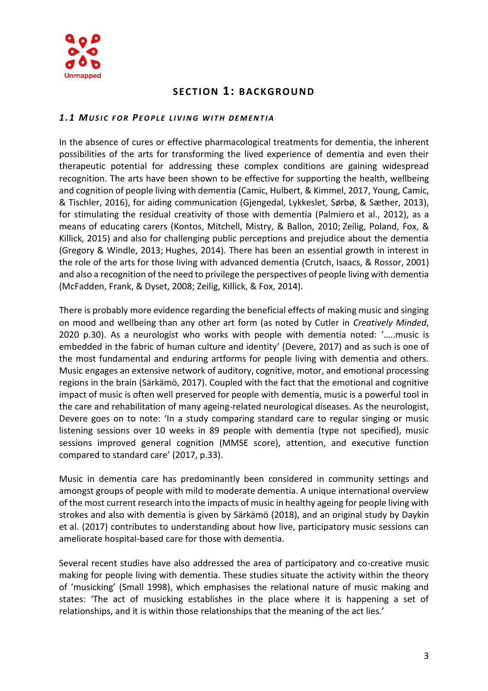

# **SECTION 1: BACKGROUND**

## 1.1 MUSIC FOR PEOPLE LIVING WITH DEMENTIA

In the absence of cures or effective pharmacological treatments for dementia, the inherent possibilities of the arts for transforming the lived experience of dementia and even their therapeutic potential for addressing these complex conditions are gaining widespread recognition. The arts have been shown to be effective for supporting the health, wellbeing and cognition of people living with dementia [\(Camic, Hulbert, & Kimmel, 2017,](https://journals.sagepub.com/doi/full/10.1177/1471301218772972) [Young, Camic,](https://journals.sagepub.com/doi/full/10.1177/1471301218772972)  [& Tischler, 2016\)](https://journals.sagepub.com/doi/full/10.1177/1471301218772972), for aiding communication [\(Gjengedal, Lykkeslet, Sørbø, & Sæther, 2013\)](https://journals.sagepub.com/doi/full/10.1177/1471301218772972), for stimulating the residual creativity of those with dementia [\(Palmiero](https://journals.sagepub.com/doi/full/10.1177/1471301218772972) et al., 2012), as a means of educating carers [\(Kontos, Mitchell, Mistry, & Ballon, 2010;](https://journals.sagepub.com/doi/full/10.1177/1471301218772972) [Zeilig, Poland, Fox, &](https://journals.sagepub.com/doi/full/10.1177/1471301218772972)  [Killick, 2015\)](https://journals.sagepub.com/doi/full/10.1177/1471301218772972) and also for challenging public perceptions and prejudice about the dementia [\(Gregory & Windle, 2013;](https://journals.sagepub.com/doi/full/10.1177/1471301218772972) [Hughes, 2014\)](https://journals.sagepub.com/doi/full/10.1177/1471301218772972). There has been an essential growth in interest in the role of the arts for those living with advanced dementia [\(Crutch, Isaacs, & Rossor, 2001\)](https://journals.sagepub.com/doi/full/10.1177/1471301218772972) and also a recognition of the need to privilege the perspectives of people living with dementia [\(McFadden, Frank, & Dyset, 2008;](https://journals.sagepub.com/doi/full/10.1177/1471301218772972) [Zeilig, Killick, & Fox, 2014\)](https://journals.sagepub.com/doi/full/10.1177/1471301218772972).

There is probably more evidence regarding the beneficial effects of making music and singing on mood and wellbeing than any other art form (as noted by Cutler in *Creatively Minded*, 2020 p.30). As a neurologist who works with people with dementia noted: '…..music is embedded in the fabric of human culture and identity' (Devere, 2017) and as such is one of the most fundamental and enduring artforms for people living with dementia and others. Music engages an extensive network of auditory, cognitive, motor, and emotional processing regions in the brain (Särkämö, 2017). Coupled with the fact that the emotional and cognitive impact of music is often well preserved for people with dementia, music is a powerful tool in the care and rehabilitation of many ageing-related neurological diseases. As the neurologist, Devere goes on to note: 'In a study comparing standard care to regular singing or music listening sessions over 10 weeks in 89 people with dementia (type not specified), music sessions improved general cognition (MMSE score), attention, and executive function compared to standard care' (2017, p.33).

Music in dementia care has predominantly been considered in community settings and amongst groups of people with mild to moderate dementia. A unique international overview of the most current research into the impacts of music in healthy ageing for people living with strokes and also with dementia is given by Särkämö (2018), and an original study by Daykin et al. (2017) contributes to understanding about how live, participatory music sessions can ameliorate hospital-based care for those with dementia.

Several recent studies have also addressed the area of participatory and co-creative music making for people living with dementia. These studies situate the activity within the theory of 'musicking' (Small 1998), which emphasises the relational nature of music making and states: 'The act of musicking establishes in the place where it is happening a set of relationships, and it is within those relationships that the meaning of the act lies.'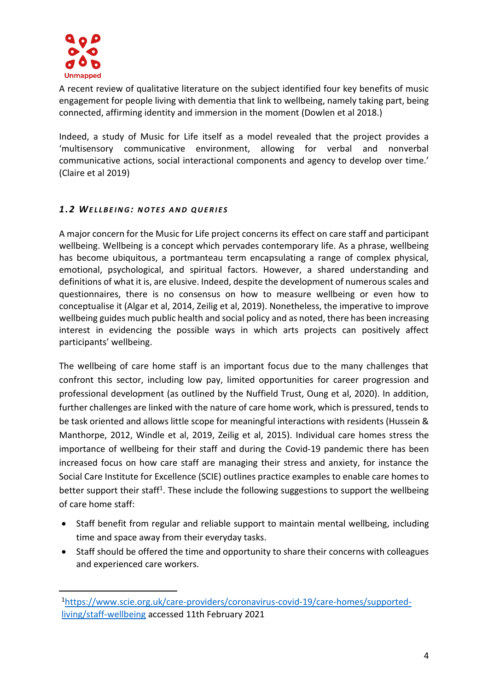

A recent review of qualitative literature on the subject identified four key benefits of music engagement for people living with dementia that link to wellbeing, namely taking part, being connected, affirming identity and immersion in the moment (Dowlen et al 2018.)

Indeed, a study of Music for Life itself as a model revealed that the project provides a 'multisensory communicative environment, allowing for verbal and nonverbal communicative actions, social interactional components and agency to develop over time.' (Claire et al 2019)

# *1 .2 WE L L B E I N G: N O T E S A N D Q U E R I E S*

A major concern for the Music for Life project concerns its effect on care staff and participant wellbeing. Wellbeing is a concept which pervades contemporary life. As a phrase, wellbeing has become ubiquitous, a portmanteau term encapsulating a range of complex physical, emotional, psychological, and spiritual factors. However, a shared understanding and definitions of what it is, are elusive. Indeed, despite the development of numerous scales and questionnaires, there is no consensus on how to measure wellbeing or even how to conceptualise it (Algar et al, 2014, Zeilig et al, 2019). Nonetheless, the imperative to improve wellbeing guides much public health and social policy and as noted, there has been increasing interest in evidencing the possible ways in which arts projects can positively affect participants' wellbeing.

The wellbeing of care home staff is an important focus due to the many challenges that confront this sector, including low pay, limited opportunities for career progression and professional development (as outlined by the Nuffield Trust, Oung et al, 2020). In addition, further challenges are linked with the nature of care home work, which is pressured, tends to be task oriented and allows little scope for meaningful interactions with residents (Hussein & Manthorpe, 2012, Windle et al, 2019, Zeilig et al, 2015). Individual care homes stress the importance of wellbeing for their staff and during the Covid-19 pandemic there has been increased focus on how care staff are managing their stress and anxiety, for instance the Social Care Institute for Excellence (SCIE) outlines practice examples to enable care homes to better support their staff<sup>1</sup>. These include the following suggestions to support the wellbeing of care home staff:

- Staff benefit from regular and reliable support to maintain mental wellbeing, including time and space away from their everyday tasks.
- Staff should be offered the time and opportunity to share their concerns with colleagues and experienced care workers.

<sup>1</sup>[https://www.scie.org.uk/care-providers/coronavirus-covid-19/care-homes/supported](https://www.scie.org.uk/care-providers/coronavirus-covid-19/care-homes/supported-living/staff-wellbeing)[living/staff-wellbeing](https://www.scie.org.uk/care-providers/coronavirus-covid-19/care-homes/supported-living/staff-wellbeing) accessed 11th February 2021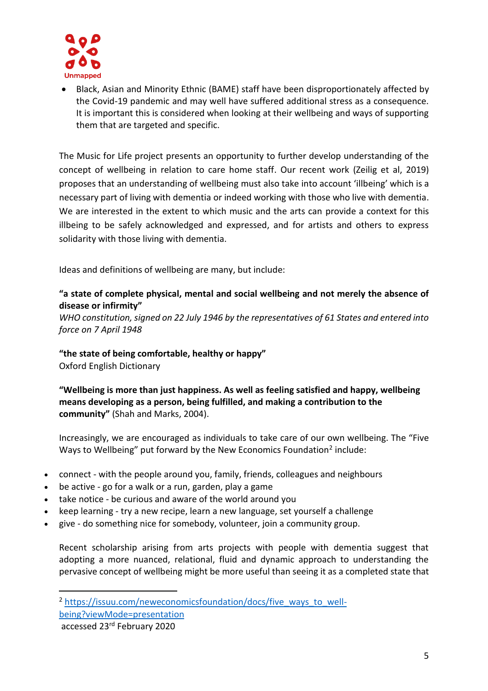

• Black, Asian and Minority Ethnic (BAME) staff have been disproportionately affected by the Covid-19 pandemic and may well have suffered additional stress as a consequence. It is important this is considered when looking at their wellbeing and ways of supporting them that are targeted and specific.

The Music for Life project presents an opportunity to further develop understanding of the concept of wellbeing in relation to care home staff. Our recent work (Zeilig et al, 2019) proposes that an understanding of wellbeing must also take into account 'illbeing' which is a necessary part of living with dementia or indeed working with those who live with dementia. We are interested in the extent to which music and the arts can provide a context for this illbeing to be safely acknowledged and expressed, and for artists and others to express solidarity with those living with dementia.

Ideas and definitions of wellbeing are many, but include:

# **"a state of complete physical, mental and social wellbeing and not merely the absence of disease or infirmity"**

*WHO constitution, signed on 22 July 1946 by the representatives of 61 States and entered into force on 7 April 1948* 

# **"the state of being comfortable, healthy or happy"**

Oxford English Dictionary

**"Wellbeing is more than just happiness. As well as feeling satisfied and happy, wellbeing means developing as a person, being fulfilled, and making a contribution to the community"** (Shah and Marks, 2004).

Increasingly, we are encouraged as individuals to take care of our own wellbeing. The "Five Ways to Wellbeing" put forward by the New Economics Foundation<sup>2</sup> include:

- connect with the people around you, family, friends, colleagues and neighbours
- be active go for a walk or a run, garden, play a game
- take notice be curious and aware of the world around you
- keep learning try a new recipe, learn a new language, set yourself a challenge
- give do something nice for somebody, volunteer, join a community group.

Recent scholarship arising from arts projects with people with dementia suggest that adopting a more nuanced, relational, fluid and dynamic approach to understanding the pervasive concept of wellbeing might be more useful than seeing it as a completed state that

<sup>&</sup>lt;sup>2</sup> [https://issuu.com/neweconomicsfoundation/docs/five\\_ways\\_to\\_well](https://issuu.com/neweconomicsfoundation/docs/five_ways_to_well-being?viewMode=presentation)[being?viewMode=presentation](https://issuu.com/neweconomicsfoundation/docs/five_ways_to_well-being?viewMode=presentation)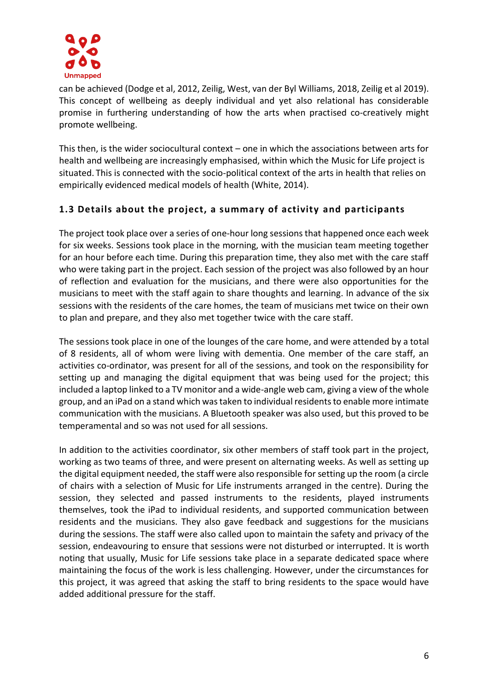

can be achieved (Dodge et al, 2012, Zeilig, West, van der Byl Williams, 2018, Zeilig et al 2019). This concept of wellbeing as deeply individual and yet also relational has considerable promise in furthering understanding of how the arts when practised co-creatively might promote wellbeing.

This then, is the wider sociocultural context – one in which the associations between arts for health and wellbeing are increasingly emphasised, within which the Music for Life project is situated. This is connected with the socio-political context of the arts in health that relies on empirically evidenced medical models of health (White, 2014).

# **1.3 Details about the project, a summary of activity and participants**

The project took place over a series of one-hour long sessions that happened once each week for six weeks. Sessions took place in the morning, with the musician team meeting together for an hour before each time. During this preparation time, they also met with the care staff who were taking part in the project. Each session of the project was also followed by an hour of reflection and evaluation for the musicians, and there were also opportunities for the musicians to meet with the staff again to share thoughts and learning. In advance of the six sessions with the residents of the care homes, the team of musicians met twice on their own to plan and prepare, and they also met together twice with the care staff.

The sessions took place in one of the lounges of the care home, and were attended by a total of 8 residents, all of whom were living with dementia. One member of the care staff, an activities co-ordinator, was present for all of the sessions, and took on the responsibility for setting up and managing the digital equipment that was being used for the project; this included a laptop linked to a TV monitor and a wide-angle web cam, giving a view of the whole group, and an iPad on a stand which was taken to individual residents to enable more intimate communication with the musicians. A Bluetooth speaker was also used, but this proved to be temperamental and so was not used for all sessions.

In addition to the activities coordinator, six other members of staff took part in the project, working as two teams of three, and were present on alternating weeks. As well as setting up the digital equipment needed, the staff were also responsible for setting up the room (a circle of chairs with a selection of Music for Life instruments arranged in the centre). During the session, they selected and passed instruments to the residents, played instruments themselves, took the iPad to individual residents, and supported communication between residents and the musicians. They also gave feedback and suggestions for the musicians during the sessions. The staff were also called upon to maintain the safety and privacy of the session, endeavouring to ensure that sessions were not disturbed or interrupted. It is worth noting that usually, Music for Life sessions take place in a separate dedicated space where maintaining the focus of the work is less challenging. However, under the circumstances for this project, it was agreed that asking the staff to bring residents to the space would have added additional pressure for the staff.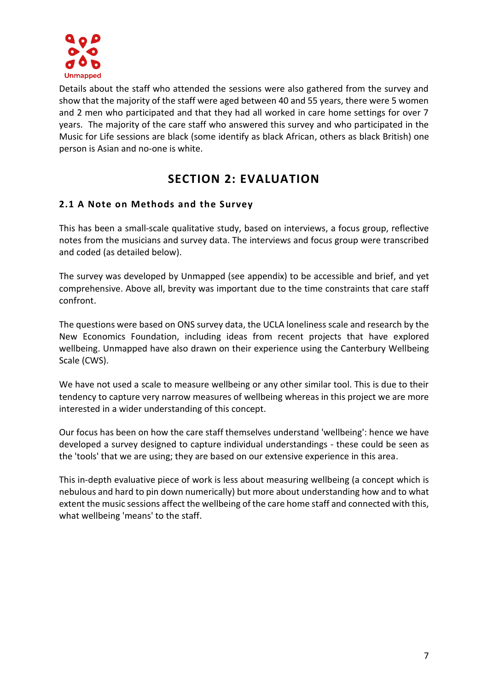

Details about the staff who attended the sessions were also gathered from the survey and show that the majority of the staff were aged between 40 and 55 years, there were 5 women and 2 men who participated and that they had all worked in care home settings for over 7 years. The majority of the care staff who answered this survey and who participated in the Music for Life sessions are black (some identify as black African, others as black British) one person is Asian and no-one is white.

# **SECTION 2: EVALUATION**

# **2.1 A Note on Methods and the Survey**

This has been a small-scale qualitative study, based on interviews, a focus group, reflective notes from the musicians and survey data. The interviews and focus group were transcribed and coded (as detailed below).

The survey was developed by Unmapped (see appendix) to be accessible and brief, and yet comprehensive. Above all, brevity was important due to the time constraints that care staff confront.

The questions were based on ONS survey data, the UCLA loneliness scale and research by the New Economics Foundation, including ideas from recent projects that have explored wellbeing. Unmapped have also drawn on their experience using the Canterbury Wellbeing Scale (CWS).

We have not used a scale to measure wellbeing or any other similar tool. This is due to their tendency to capture very narrow measures of wellbeing whereas in this project we are more interested in a wider understanding of this concept.

Our focus has been on how the care staff themselves understand 'wellbeing': hence we have developed a survey designed to capture individual understandings - these could be seen as the 'tools' that we are using; they are based on our extensive experience in this area.

This in-depth evaluative piece of work is less about measuring wellbeing (a concept which is nebulous and hard to pin down numerically) but more about understanding how and to what extent the music sessions affect the wellbeing of the care home staff and connected with this, what wellbeing 'means' to the staff.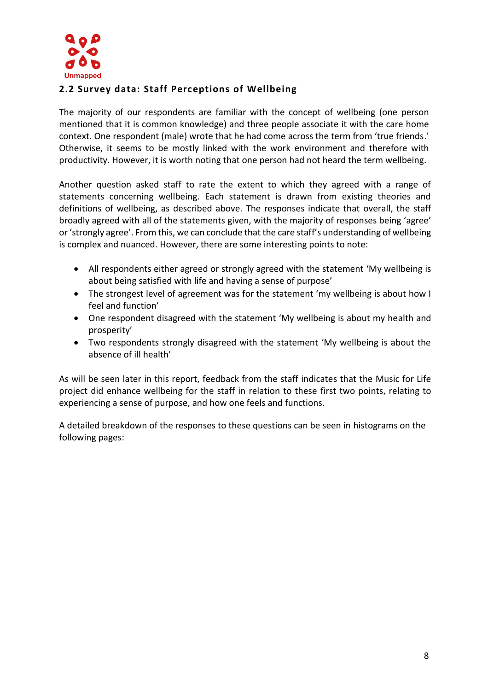

# **2.2 Survey data: Staff Perceptions of Wellbeing**

The majority of our respondents are familiar with the concept of wellbeing (one person mentioned that it is common knowledge) and three people associate it with the care home context. One respondent (male) wrote that he had come across the term from 'true friends.' Otherwise, it seems to be mostly linked with the work environment and therefore with productivity. However, it is worth noting that one person had not heard the term wellbeing.

Another question asked staff to rate the extent to which they agreed with a range of statements concerning wellbeing. Each statement is drawn from existing theories and definitions of wellbeing, as described above. The responses indicate that overall, the staff broadly agreed with all of the statements given, with the majority of responses being 'agree' or 'strongly agree'. From this, we can conclude that the care staff's understanding of wellbeing is complex and nuanced. However, there are some interesting points to note:

- All respondents either agreed or strongly agreed with the statement 'My wellbeing is about being satisfied with life and having a sense of purpose'
- The strongest level of agreement was for the statement 'my wellbeing is about how I feel and function'
- One respondent disagreed with the statement 'My wellbeing is about my health and prosperity'
- Two respondents strongly disagreed with the statement 'My wellbeing is about the absence of ill health'

As will be seen later in this report, feedback from the staff indicates that the Music for Life project did enhance wellbeing for the staff in relation to these first two points, relating to experiencing a sense of purpose, and how one feels and functions.

A detailed breakdown of the responses to these questions can be seen in histograms on the following pages: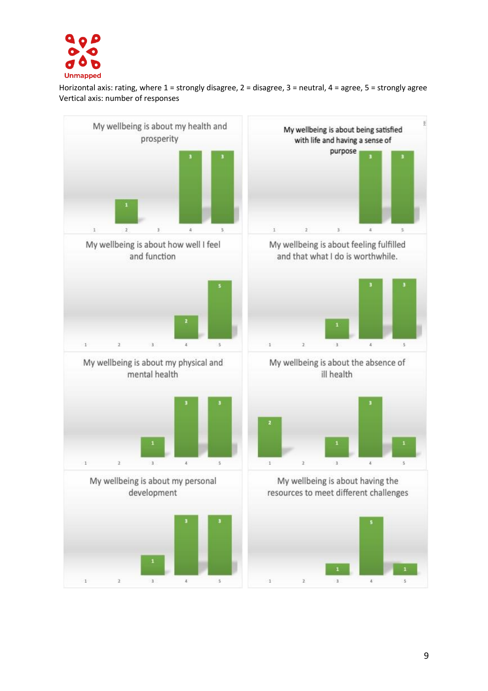

Horizontal axis: rating, where 1 = strongly disagree, 2 = disagree, 3 = neutral, 4 = agree, 5 = strongly agree Vertical axis: number of responses

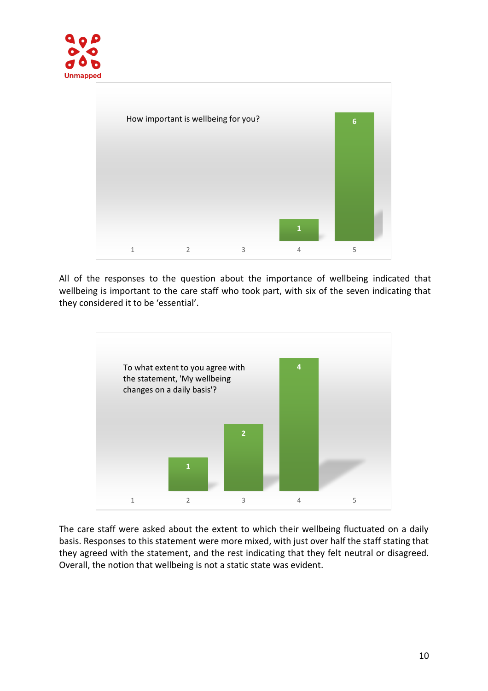



All of the responses to the question about the importance of wellbeing indicated that wellbeing is important to the care staff who took part, with six of the seven indicating that they considered it to be 'essential'.



The care staff were asked about the extent to which their wellbeing fluctuated on a daily basis. Responses to this statement were more mixed, with just over half the staff stating that they agreed with the statement, and the rest indicating that they felt neutral or disagreed. Overall, the notion that wellbeing is not a static state was evident.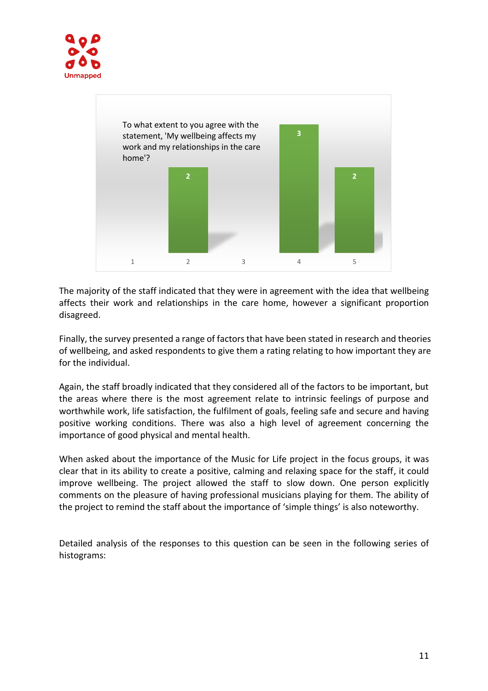



The majority of the staff indicated that they were in agreement with the idea that wellbeing affects their work and relationships in the care home, however a significant proportion disagreed.

Finally, the survey presented a range of factors that have been stated in research and theories of wellbeing, and asked respondents to give them a rating relating to how important they are for the individual.

Again, the staff broadly indicated that they considered all of the factors to be important, but the areas where there is the most agreement relate to intrinsic feelings of purpose and worthwhile work, life satisfaction, the fulfilment of goals, feeling safe and secure and having positive working conditions. There was also a high level of agreement concerning the importance of good physical and mental health.

When asked about the importance of the Music for Life project in the focus groups, it was clear that in its ability to create a positive, calming and relaxing space for the staff, it could improve wellbeing. The project allowed the staff to slow down. One person explicitly comments on the pleasure of having professional musicians playing for them. The ability of the project to remind the staff about the importance of 'simple things' is also noteworthy.

Detailed analysis of the responses to this question can be seen in the following series of histograms: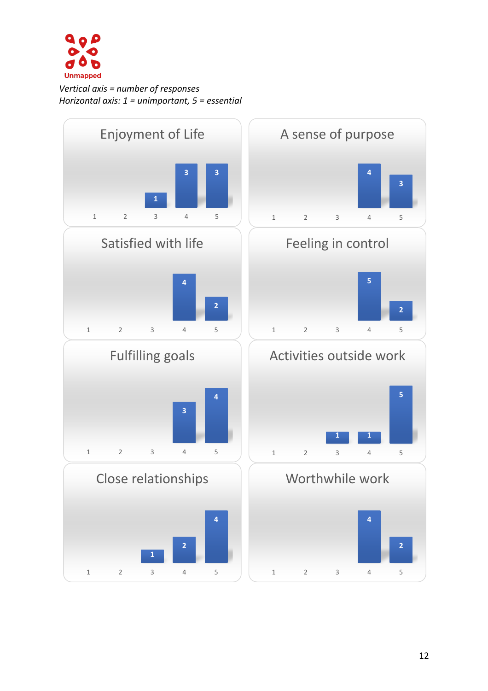

*Vertical axis = number of responses Horizontal axis: 1 = unimportant, 5 = essential*

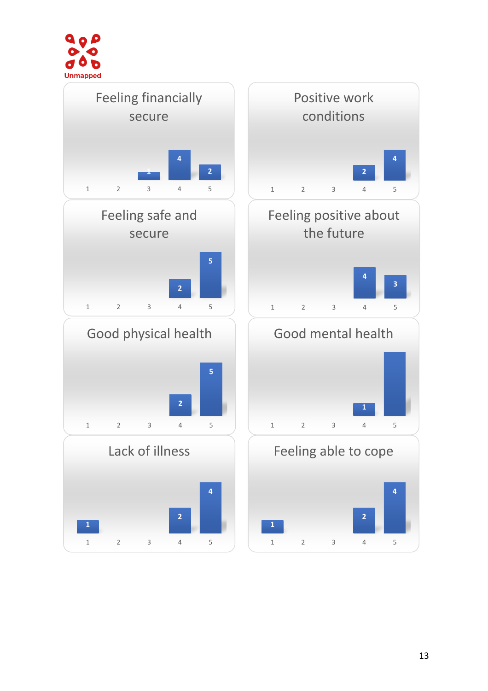

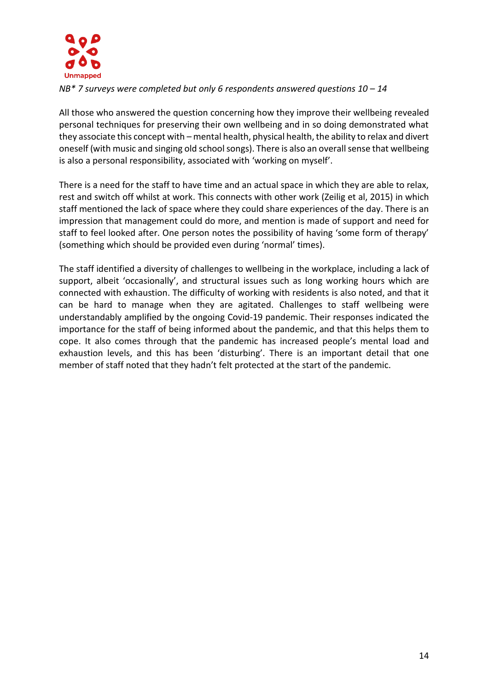

*NB\* 7 surveys were completed but only 6 respondents answered questions 10 – 14*

All those who answered the question concerning how they improve their wellbeing revealed personal techniques for preserving their own wellbeing and in so doing demonstrated what they associate this concept with – mental health, physical health, the ability to relax and divert oneself (with music and singing old school songs). There is also an overall sense that wellbeing is also a personal responsibility, associated with 'working on myself'.

There is a need for the staff to have time and an actual space in which they are able to relax, rest and switch off whilst at work. This connects with other work (Zeilig et al, 2015) in which staff mentioned the lack of space where they could share experiences of the day. There is an impression that management could do more, and mention is made of support and need for staff to feel looked after. One person notes the possibility of having 'some form of therapy' (something which should be provided even during 'normal' times).

The staff identified a diversity of challenges to wellbeing in the workplace, including a lack of support, albeit 'occasionally', and structural issues such as long working hours which are connected with exhaustion. The difficulty of working with residents is also noted, and that it can be hard to manage when they are agitated. Challenges to staff wellbeing were understandably amplified by the ongoing Covid-19 pandemic. Their responses indicated the importance for the staff of being informed about the pandemic, and that this helps them to cope. It also comes through that the pandemic has increased people's mental load and exhaustion levels, and this has been 'disturbing'. There is an important detail that one member of staff noted that they hadn't felt protected at the start of the pandemic.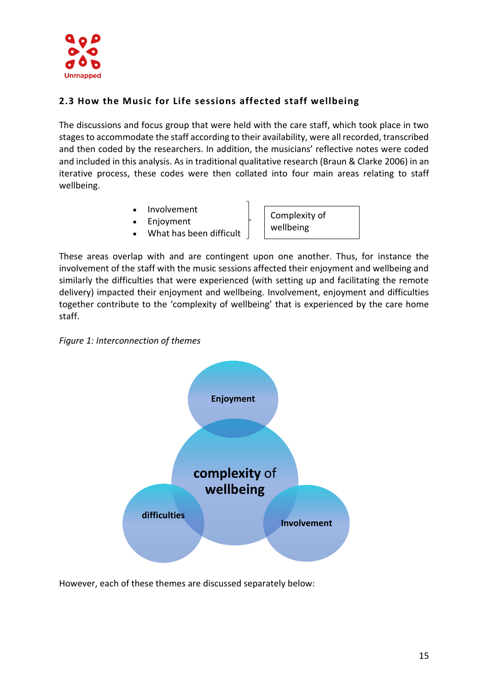

# **2.3 How the Music for Life sessions affected staff wellbeing**

The discussions and focus group that were held with the care staff, which took place in two stages to accommodate the staff according to their availability, were all recorded, transcribed and then coded by the researchers. In addition, the musicians' reflective notes were coded and included in this analysis. As in traditional qualitative research (Braun & Clarke 2006) in an iterative process, these codes were then collated into four main areas relating to staff wellbeing.

- **Involvement**
- **Enjoyment**
- What has been difficult

Complexity of wellbeing

These areas overlap with and are contingent upon one another. Thus, for instance the involvement of the staff with the music sessions affected their enjoyment and wellbeing and similarly the difficulties that were experienced (with setting up and facilitating the remote delivery) impacted their enjoyment and wellbeing. Involvement, enjoyment and difficulties together contribute to the 'complexity of wellbeing' that is experienced by the care home staff.





However, each of these themes are discussed separately below: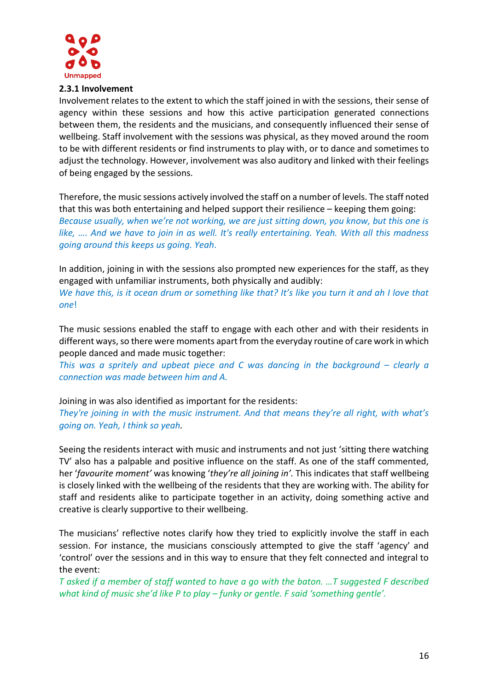

*one*!

#### **2.3.1 Involvement**

Involvement relates to the extent to which the staff joined in with the sessions, their sense of agency within these sessions and how this active participation generated connections between them, the residents and the musicians, and consequently influenced their sense of wellbeing. Staff involvement with the sessions was physical, as they moved around the room to be with different residents or find instruments to play with, or to dance and sometimes to adjust the technology. However, involvement was also auditory and linked with their feelings of being engaged by the sessions.

Therefore, the music sessions actively involved the staff on a number of levels. The staff noted that this was both entertaining and helped support their resilience – keeping them going: *Because usually, when we're not working, we are just sitting down, you know, but this one is like, …. And we have to join in as well. It's really entertaining. Yeah. With all this madness going around this keeps us going. Yeah*.

In addition, joining in with the sessions also prompted new experiences for the staff, as they engaged with unfamiliar instruments, both physically and audibly: *We have this, is it ocean drum or something like that? It's like you turn it and ah I love that*

The music sessions enabled the staff to engage with each other and with their residents in different ways, so there were moments apart from the everyday routine of care work in which people danced and made music together:

*This was a spritely and upbeat piece and C was dancing in the background – clearly a connection was made between him and A.*

Joining in was also identified as important for the residents:

*They're joining in with the music instrument. And that means they're all right, with what's going on. Yeah, I think so yeah.*

Seeing the residents interact with music and instruments and not just 'sitting there watching TV' also has a palpable and positive influence on the staff. As one of the staff commented, her '*favourite moment'* was knowing '*they're all joining in'.* This indicates that staff wellbeing is closely linked with the wellbeing of the residents that they are working with. The ability for staff and residents alike to participate together in an activity, doing something active and creative is clearly supportive to their wellbeing.

The musicians' reflective notes clarify how they tried to explicitly involve the staff in each session. For instance, the musicians consciously attempted to give the staff 'agency' and 'control' over the sessions and in this way to ensure that they felt connected and integral to the event:

*T asked if a member of staff wanted to have a go with the baton. …T suggested F described what kind of music she'd like P to play – funky or gentle. F said 'something gentle'.*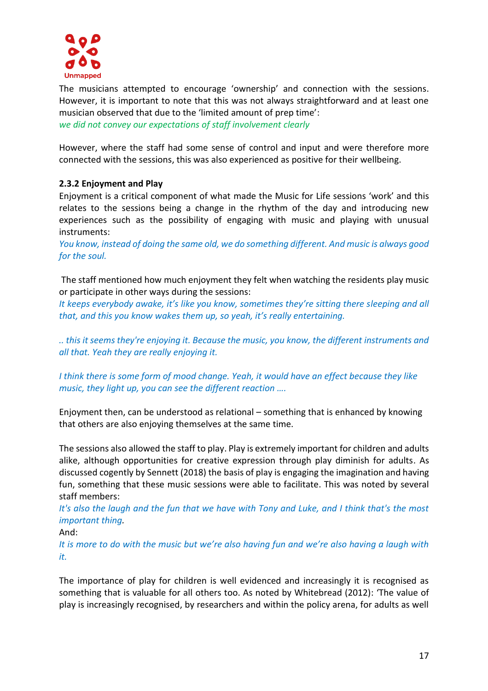

The musicians attempted to encourage 'ownership' and connection with the sessions. However, it is important to note that this was not always straightforward and at least one musician observed that due to the 'limited amount of prep time': *we did not convey our expectations of staff involvement clearly* 

However, where the staff had some sense of control and input and were therefore more connected with the sessions, this was also experienced as positive for their wellbeing.

# **2.3.2 Enjoyment and Play**

Enjoyment is a critical component of what made the Music for Life sessions 'work' and this relates to the sessions being a change in the rhythm of the day and introducing new experiences such as the possibility of engaging with music and playing with unusual instruments:

*You know, instead of doing the same old, we do something different. And music is always good for the soul.*

The staff mentioned how much enjoyment they felt when watching the residents play music or participate in other ways during the sessions:

*It keeps everybody awake, it's like you know, sometimes they're sitting there sleeping and all that, and this you know wakes them up, so yeah, it's really entertaining.* 

*.. this it seems they're enjoying it. Because the music, you know, the different instruments and all that. Yeah they are really enjoying it.*

*I think there is some form of mood change. Yeah, it would have an effect because they like music, they light up, you can see the different reaction ….*

Enjoyment then, can be understood as relational – something that is enhanced by knowing that others are also enjoying themselves at the same time.

The sessions also allowed the staff to play. Play is extremely important for children and adults alike, although opportunities for creative expression through play diminish for adults. As discussed cogently by Sennett (2018) the basis of play is engaging the imagination and having fun, something that these music sessions were able to facilitate. This was noted by several staff members:

*It's also the laugh and the fun that we have with Tony and Luke, and I think that's the most important thing.* 

And:

*It is more to do with the music but we're also having fun and we're also having a laugh with it.*

The importance of play for children is well evidenced and increasingly it is recognised as something that is valuable for all others too. As noted by Whitebread (2012): 'The value of play is increasingly recognised, by researchers and within the policy arena, for adults as well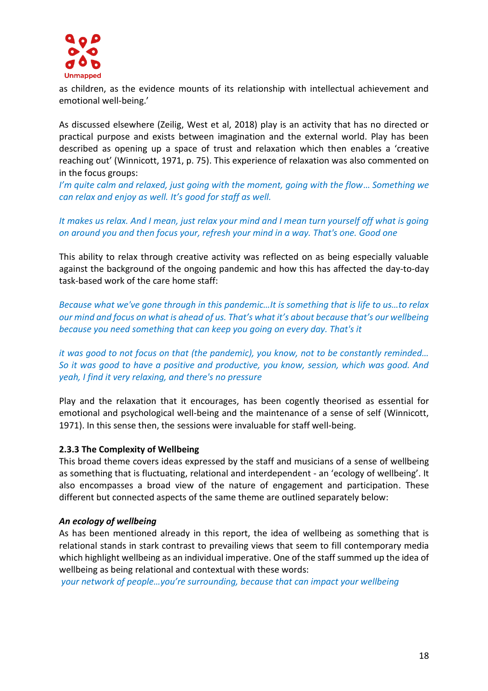

as children, as the evidence mounts of its relationship with intellectual achievement and emotional well-being.'

As discussed elsewhere (Zeilig, West et al, 2018) play is an activity that has no directed or practical purpose and exists between imagination and the external world. Play has been described as opening up a space of trust and relaxation which then enables a 'creative reaching out' (Winnicott, 1971, p. 75). This experience of relaxation was also commented on in the focus groups:

*I'm quite calm and relaxed, just going with the moment, going with the flow*… *Something we can relax and enjoy as well. It's good for staff as well.*

*It makes us relax. And I mean, just relax your mind and I mean turn yourself off what is going on around you and then focus your, refresh your mind in a way. That's one. Good one*

This ability to relax through creative activity was reflected on as being especially valuable against the background of the ongoing pandemic and how this has affected the day-to-day task-based work of the care home staff:

*Because what we've gone through in this pandemic…It is something that is life to us…to relax our mind and focus on what is ahead of us. That's what it's about because that's our wellbeing because you need something that can keep you going on every day. That's it*

*it was good to not focus on that (the pandemic), you know, not to be constantly reminded… So it was good to have a positive and productive, you know, session, which was good. And yeah, I find it very relaxing, and there's no pressure*

Play and the relaxation that it encourages, has been cogently theorised as essential for emotional and psychological well-being and the maintenance of a sense of self (Winnicott, 1971). In this sense then, the sessions were invaluable for staff well-being.

#### **2.3.3 The Complexity of Wellbeing**

This broad theme covers ideas expressed by the staff and musicians of a sense of wellbeing as something that is fluctuating, relational and interdependent - an 'ecology of wellbeing'. It also encompasses a broad view of the nature of engagement and participation. These different but connected aspects of the same theme are outlined separately below:

#### *An ecology of wellbeing*

As has been mentioned already in this report, the idea of wellbeing as something that is relational stands in stark contrast to prevailing views that seem to fill contemporary media which highlight wellbeing as an individual imperative. One of the staff summed up the idea of wellbeing as being relational and contextual with these words:

*your network of people…you're surrounding, because that can impact your wellbeing*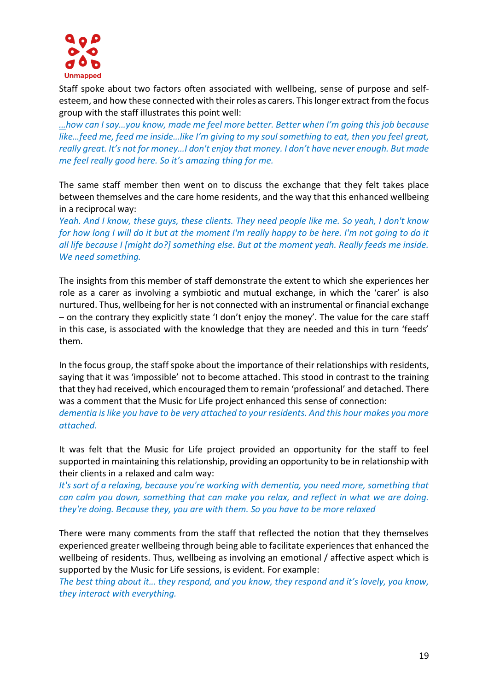

Staff spoke about two factors often associated with wellbeing, sense of purpose and selfesteem, and how these connected with their roles as carers. This longer extract from the focus group with the staff illustrates this point well:

*…how can I say…you know, made me feel more better. Better when I'm going this job because like…feed me, feed me inside…like I'm giving to my soul something to eat, then you feel great, really great. It's not for money…I don't enjoy that money. I don't have never enough. But made me feel really good here. So it's amazing thing for me.* 

The same staff member then went on to discuss the exchange that they felt takes place between themselves and the care home residents, and the way that this enhanced wellbeing in a reciprocal way:

*Yeah. And I know, these guys, these clients. They need people like me. So yeah, I don't know for how long I will do it but at the moment I'm really happy to be here. I'm not going to do it all life because I [might do?] something else. But at the moment yeah. Really feeds me inside. We need something.*

The insights from this member of staff demonstrate the extent to which she experiences her role as a carer as involving a symbiotic and mutual exchange, in which the 'carer' is also nurtured. Thus, wellbeing for her is not connected with an instrumental or financial exchange – on the contrary they explicitly state 'I don't enjoy the money'. The value for the care staff in this case, is associated with the knowledge that they are needed and this in turn 'feeds' them.

In the focus group, the staff spoke about the importance of their relationships with residents, saying that it was 'impossible' not to become attached. This stood in contrast to the training that they had received, which encouraged them to remain 'professional' and detached. There was a comment that the Music for Life project enhanced this sense of connection: *dementia is like you have to be very attached to your residents. And this hour makes you more attached.* 

It was felt that the Music for Life project provided an opportunity for the staff to feel supported in maintaining this relationship, providing an opportunity to be in relationship with their clients in a relaxed and calm way:

*It's sort of a relaxing, because you're working with dementia, you need more, something that can calm you down, something that can make you relax, and reflect in what we are doing. they're doing. Because they, you are with them. So you have to be more relaxed*

There were many comments from the staff that reflected the notion that they themselves experienced greater wellbeing through being able to facilitate experiences that enhanced the wellbeing of residents. Thus, wellbeing as involving an emotional / affective aspect which is supported by the Music for Life sessions, is evident. For example:

*The best thing about it… they respond, and you know, they respond and it's lovely, you know, they interact with everything.*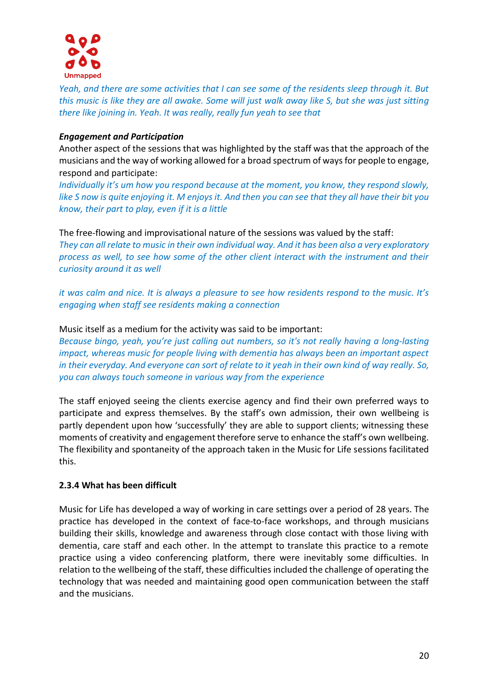

*Yeah, and there are some activities that I can see some of the residents sleep through it. But this music is like they are all awake. Some will just walk away like S, but she was just sitting there like joining in. Yeah. It was really, really fun yeah to see that*

## *Engagement and Participation*

Another aspect of the sessions that was highlighted by the staff was that the approach of the musicians and the way of working allowed for a broad spectrum of ways for people to engage, respond and participate:

*Individually it's um how you respond because at the moment, you know, they respond slowly, like S now is quite enjoying it. M enjoys it. And then you can see that they all have their bit you know, their part to play, even if it is a little*

The free-flowing and improvisational nature of the sessions was valued by the staff: *They can all relate to music in their own individual way. And it has been also a very exploratory process as well, to see how some of the other client interact with the instrument and their curiosity around it as well*

*it was calm and nice. It is always a pleasure to see how residents respond to the music. It's engaging when staff see residents making a connection*

## Music itself as a medium for the activity was said to be important:

*Because bingo, yeah, you're just calling out numbers, so it's not really having a long-lasting impact, whereas music for people living with dementia has always been an important aspect in their everyday. And everyone can sort of relate to it yeah in their own kind of way really. So, you can always touch someone in various way from the experience*

The staff enjoyed seeing the clients exercise agency and find their own preferred ways to participate and express themselves. By the staff's own admission, their own wellbeing is partly dependent upon how 'successfully' they are able to support clients; witnessing these moments of creativity and engagement therefore serve to enhance the staff's own wellbeing. The flexibility and spontaneity of the approach taken in the Music for Life sessions facilitated this.

# **2.3.4 What has been difficult**

Music for Life has developed a way of working in care settings over a period of 28 years. The practice has developed in the context of face-to-face workshops, and through musicians building their skills, knowledge and awareness through close contact with those living with dementia, care staff and each other. In the attempt to translate this practice to a remote practice using a video conferencing platform, there were inevitably some difficulties. In relation to the wellbeing of the staff, these difficulties included the challenge of operating the technology that was needed and maintaining good open communication between the staff and the musicians.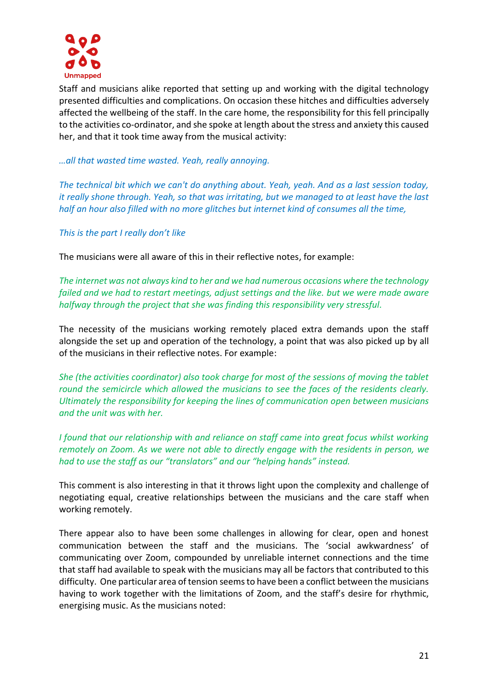

Staff and musicians alike reported that setting up and working with the digital technology presented difficulties and complications. On occasion these hitches and difficulties adversely affected the wellbeing of the staff. In the care home, the responsibility for this fell principally to the activities co-ordinator, and she spoke at length about the stress and anxiety this caused her, and that it took time away from the musical activity:

## *…all that wasted time wasted. Yeah, really annoying.*

*The technical bit which we can't do anything about. Yeah, yeah. And as a last session today, it really shone through. Yeah, so that was irritating, but we managed to at least have the last half an hour also filled with no more glitches but internet kind of consumes all the time,*

## *This is the part I really don't like*

The musicians were all aware of this in their reflective notes, for example:

*The internet was not always kind to her and we had numerous occasions where the technology failed and we had to restart meetings, adjust settings and the like. but we were made aware halfway through the project that she was finding this responsibility very stressful.* 

The necessity of the musicians working remotely placed extra demands upon the staff alongside the set up and operation of the technology, a point that was also picked up by all of the musicians in their reflective notes. For example:

*She (the activities coordinator) also took charge for most of the sessions of moving the tablet round the semicircle which allowed the musicians to see the faces of the residents clearly. Ultimately the responsibility for keeping the lines of communication open between musicians and the unit was with her.* 

*I found that our relationship with and reliance on staff came into great focus whilst working remotely on Zoom. As we were not able to directly engage with the residents in person, we had to use the staff as our "translators" and our "helping hands" instead.*

This comment is also interesting in that it throws light upon the complexity and challenge of negotiating equal, creative relationships between the musicians and the care staff when working remotely.

There appear also to have been some challenges in allowing for clear, open and honest communication between the staff and the musicians. The 'social awkwardness' of communicating over Zoom, compounded by unreliable internet connections and the time that staff had available to speak with the musicians may all be factors that contributed to this difficulty. One particular area of tension seems to have been a conflict between the musicians having to work together with the limitations of Zoom, and the staff's desire for rhythmic, energising music. As the musicians noted: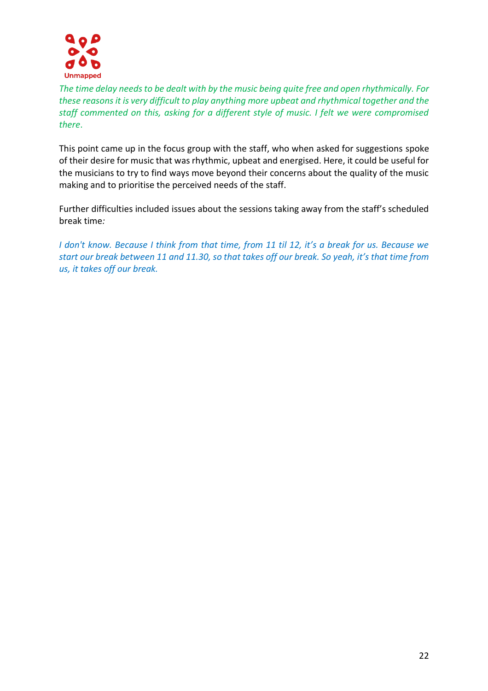

*The time delay needs to be dealt with by the music being quite free and open rhythmically. For these reasons it is very difficult to play anything more upbeat and rhythmical together and the staff commented on this, asking for a different style of music. I felt we were compromised there*.

This point came up in the focus group with the staff, who when asked for suggestions spoke of their desire for music that was rhythmic, upbeat and energised. Here, it could be useful for the musicians to try to find ways move beyond their concerns about the quality of the music making and to prioritise the perceived needs of the staff.

Further difficulties included issues about the sessions taking away from the staff's scheduled break time*:*

*I don't know. Because I think from that time, from 11 til 12, it's a break for us. Because we start our break between 11 and 11.30, so that takes off our break. So yeah, it's that time from us, it takes off our break.*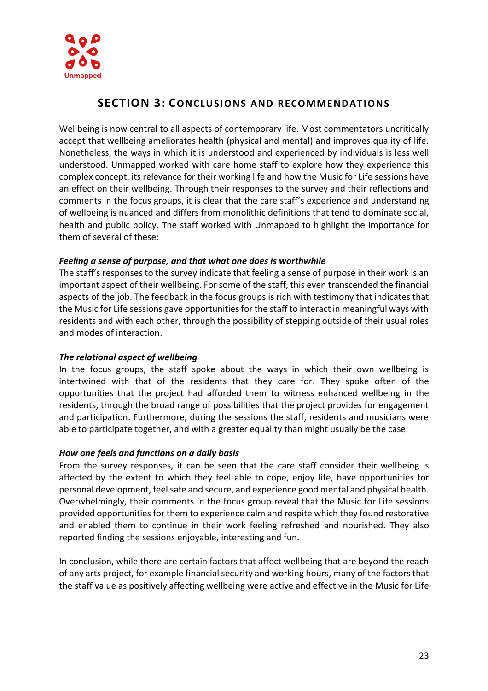

# **SECTION 3: CON CL U SIONS AND RECOMME NDAT IONS**

Wellbeing is now central to all aspects of contemporary life. Most commentators uncritically accept that wellbeing ameliorates health (physical and mental) and improves quality of life. Nonetheless, the ways in which it is understood and experienced by individuals is less well understood. Unmapped worked with care home staff to explore how they experience this complex concept, its relevance for their working life and how the Music for Life sessions have an effect on their wellbeing. Through their responses to the survey and their reflections and comments in the focus groups, it is clear that the care staff's experience and understanding of wellbeing is nuanced and differs from monolithic definitions that tend to dominate social, health and public policy. The staff worked with Unmapped to highlight the importance for them of several of these:

# *Feeling a sense of purpose, and that what one does is worthwhile*

The staff's responses to the survey indicate that feeling a sense of purpose in their work is an important aspect of their wellbeing. For some of the staff, this even transcended the financial aspects of the job. The feedback in the focus groups is rich with testimony that indicates that the Music for Life sessions gave opportunities for the staff to interact in meaningful ways with residents and with each other, through the possibility of stepping outside of their usual roles and modes of interaction.

# *The relational aspect of wellbeing*

In the focus groups, the staff spoke about the ways in which their own wellbeing is intertwined with that of the residents that they care for. They spoke often of the opportunities that the project had afforded them to witness enhanced wellbeing in the residents, through the broad range of possibilities that the project provides for engagement and participation. Furthermore, during the sessions the staff, residents and musicians were able to participate together, and with a greater equality than might usually be the case.

# *How one feels and functions on a daily basis*

From the survey responses, it can be seen that the care staff consider their wellbeing is affected by the extent to which they feel able to cope, enjoy life, have opportunities for personal development, feel safe and secure, and experience good mental and physical health. Overwhelmingly, their comments in the focus group reveal that the Music for Life sessions provided opportunities for them to experience calm and respite which they found restorative and enabled them to continue in their work feeling refreshed and nourished. They also reported finding the sessions enjoyable, interesting and fun.

In conclusion, while there are certain factors that affect wellbeing that are beyond the reach of any arts project, for example financial security and working hours, many of the factors that the staff value as positively affecting wellbeing were active and effective in the Music for Life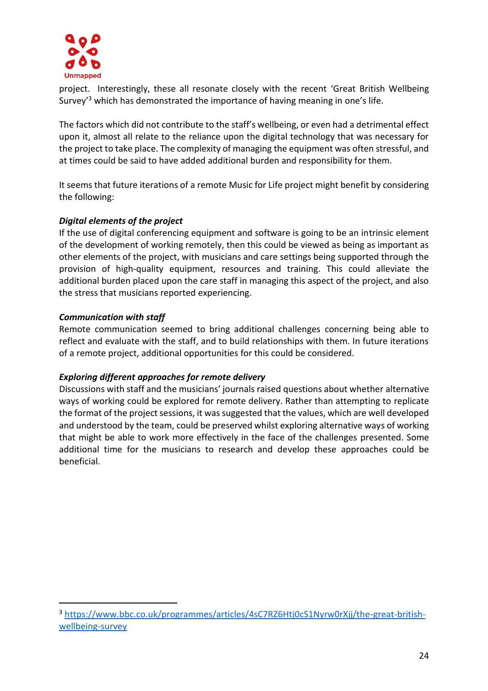

project. Interestingly, these all resonate closely with the recent 'Great British Wellbeing Survey'<sup>3</sup> which has demonstrated the importance of having meaning in one's life.

The factors which did not contribute to the staff's wellbeing, or even had a detrimental effect upon it, almost all relate to the reliance upon the digital technology that was necessary for the project to take place. The complexity of managing the equipment was often stressful, and at times could be said to have added additional burden and responsibility for them.

It seems that future iterations of a remote Music for Life project might benefit by considering the following:

# *Digital elements of the project*

If the use of digital conferencing equipment and software is going to be an intrinsic element of the development of working remotely, then this could be viewed as being as important as other elements of the project, with musicians and care settings being supported through the provision of high-quality equipment, resources and training. This could alleviate the additional burden placed upon the care staff in managing this aspect of the project, and also the stress that musicians reported experiencing.

# *Communication with staff*

Remote communication seemed to bring additional challenges concerning being able to reflect and evaluate with the staff, and to build relationships with them. In future iterations of a remote project, additional opportunities for this could be considered.

# *Exploring different approaches for remote delivery*

Discussions with staff and the musicians' journals raised questions about whether alternative ways of working could be explored for remote delivery. Rather than attempting to replicate the format of the project sessions, it was suggested that the values, which are well developed and understood by the team, could be preserved whilst exploring alternative ways of working that might be able to work more effectively in the face of the challenges presented. Some additional time for the musicians to research and develop these approaches could be beneficial.

<sup>3</sup> [https://www.bbc.co.uk/programmes/articles/4sC7RZ6Htj0cS1Nyrw0rXjj/the-great-british](https://www.bbc.co.uk/programmes/articles/4sC7RZ6Htj0cS1Nyrw0rXjj/the-great-british-wellbeing-survey)[wellbeing-survey](https://www.bbc.co.uk/programmes/articles/4sC7RZ6Htj0cS1Nyrw0rXjj/the-great-british-wellbeing-survey)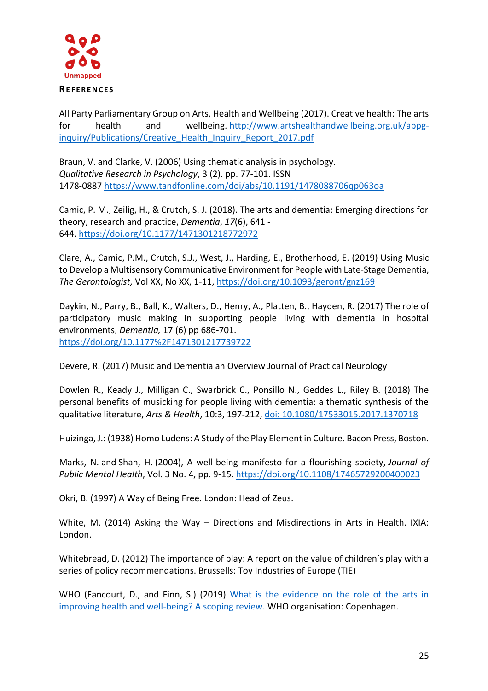

#### **RE F E R E N C E S**

All Party Parliamentary Group on Arts, Health and Wellbeing (2017). Creative health: The arts for health and wellbeing. [http://www.artshealthandwellbeing.org.uk/appg](http://www.artshealthandwellbeing.org.uk/appg-inquiry/Publications/Creative_Health_Inquiry_Report_2017.pdf)[inquiry/Publications/Creative\\_Health\\_Inquiry\\_Report\\_2017.pdf](http://www.artshealthandwellbeing.org.uk/appg-inquiry/Publications/Creative_Health_Inquiry_Report_2017.pdf)

Braun, V. and Clarke, V. (2006) Using thematic analysis in psychology. *Qualitative Research in Psychology*, 3 (2). pp. 77-101. ISSN 1478-0887<https://www.tandfonline.com/doi/abs/10.1191/1478088706qp063oa>

Camic, P. M., Zeilig, H., & Crutch, S. J. (2018). The arts and dementia: Emerging directions for theory, research and practice, *Dementia*, *17*(6), 641 - 644. <https://doi.org/10.1177/1471301218772972>

Clare, A., Camic, P.M., Crutch, S.J., West, J., Harding, E., Brotherhood, E. (2019) Using Music to Develop a Multisensory Communicative Environment for People with Late-Stage Dementia, *The Gerontologist,* Vol XX, No XX, 1-11,<https://doi.org/10.1093/geront/gnz169>

Daykin, N., Parry, B., Ball, K., Walters, D., Henry, A., Platten, B., Hayden, R. (2017) The role of participatory music making in supporting people living with dementia in hospital environments, *Dementia,* [17 \(6\)](https://journals.sagepub.com/toc/dem/17/6) pp 686-701. <https://doi.org/10.1177%2F1471301217739722>

Devere, R. (2017) Music and Dementia an Overview Journal of Practical Neurology

Dowlen R., Keady J., Milligan C., Swarbrick C., Ponsillo N., Geddes L., Riley B. (2018) The personal benefits of musicking for people living with dementia: a thematic synthesis of the qualitative literature, *Arts & Health*, 10:3, 197-212, [doi: 10.1080/17533015.2017.1370718](https://www.tandfonline.com/doi/abs/10.1080/17533015.2017.1370718?journalCode=rahe20)

Huizinga, J.: (1938) Homo Ludens: A Study of the Play Element in Culture. Bacon Press, Boston.

Marks, N. and Shah, H. (2004), A well‐being manifesto for a flourishing society, *Journal of Public Mental Health*, Vol. 3 No. 4, pp. 9-15. <https://doi.org/10.1108/17465729200400023>

Okri, B. (1997) A Way of Being Free. London: Head of Zeus.

White, M. (2014) Asking the Way – Directions and Misdirections in Arts in Health. IXIA: London.

Whitebread, D. (2012) The importance of play: A report on the value of children's play with a series of policy recommendations. Brussells: Toy Industries of Europe (TIE)

WHO (Fancourt, D., and Finn, S.) (2019) What is the evidence on the role of the arts in [improving health and well-being? A scoping review.](https://www.euro.who.int/en/publications/abstracts/what-is-the-evidence-on-the-role-of-the-arts-in-improving-health-and-well-being-a-scoping-review-2019) WHO organisation: Copenhagen.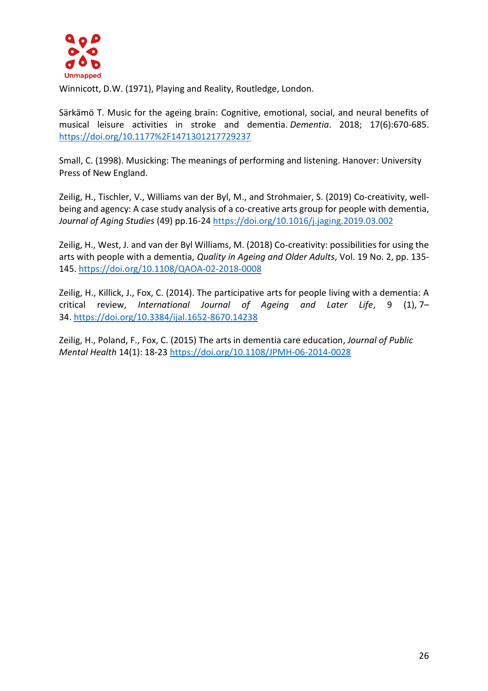

Winnicott, D.W. (1971), Playing and Reality, Routledge, London.

Särkämö T. Music for the ageing brain: Cognitive, emotional, social, and neural benefits of musical leisure activities in stroke and dementia. *Dementia*. 2018; 17(6):670-685. <https://doi.org/10.1177%2F1471301217729237>

Small, C. (1998). Musicking: The meanings of performing and listening. Hanover: University Press of New England.

Zeilig, H., Tischler, V., Williams van der Byl, M., and Strohmaier, S. (2019) Co-creativity, wellbeing and agency: A case study analysis of a co-creative arts group for people with dementia, *Journal of Aging Studies* (49) pp.16-24 <https://doi.org/10.1016/j.jaging.2019.03.002>

[Zeilig, H.,](https://www.emerald.com/insight/search?q=Hannah%20Zeilig) [West, J.](https://www.emerald.com/insight/search?q=Julian%20West) and [van der Byl Williams, M.](https://www.emerald.com/insight/search?q=Millie%20van%20der%20Byl%20Williams) (2018) Co-creativity: possibilities for using the arts with people with a dementia, *Quality in Ageing and Older Adults*, Vol. 19 No. 2, pp. 135- 145. <https://doi.org/10.1108/QAOA-02-2018-0008>

Zeilig, H., Killick, J., Fox, C. (2014). The participative arts for people living with a dementia: A critical review, *International Journal of Ageing and Later Life*, 9 (1), 7– 34. <https://doi.org/10.3384/ijal.1652-8670.14238>

Zeilig, H., Poland, F., Fox, C. (2015) The arts in dementia care education, *Journal of Public Mental Health* 14(1): 18-23 <https://doi.org/10.1108/JPMH-06-2014-0028>